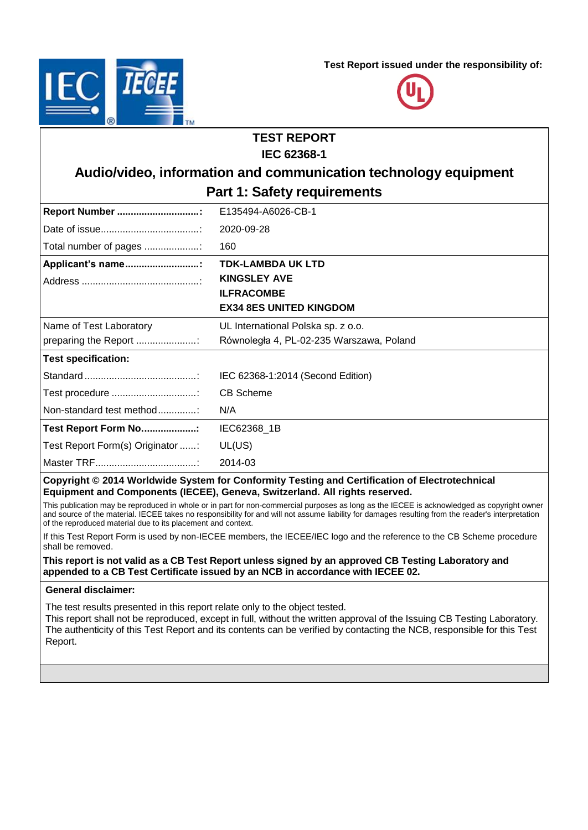**Test Report issued under the responsibility of:**





# **TEST REPORT**

### **IEC 62368-1**

## **Audio/video, information and communication technology equipment Part 1: Safety requirements**

| Report Number                    | E135494-A6026-CB-1                       |
|----------------------------------|------------------------------------------|
|                                  | 2020-09-28                               |
| Total number of pages            | 160                                      |
| Applicant's name                 | <b>TDK-LAMBDA UK LTD</b>                 |
|                                  | <b>KINGSLEY AVE</b>                      |
|                                  | <b>ILFRACOMBE</b>                        |
|                                  | <b>EX34 8ES UNITED KINGDOM</b>           |
| Name of Test Laboratory          | UL International Polska sp. z o.o.       |
| preparing the Report             | Równoległa 4, PL-02-235 Warszawa, Poland |
| <b>Test specification:</b>       |                                          |
|                                  | IEC 62368-1:2014 (Second Edition)        |
|                                  | <b>CB Scheme</b>                         |
| Non-standard test method         | N/A                                      |
| Test Report Form No:             | IEC62368 1B                              |
| Test Report Form(s) Originator : | UL(US)                                   |
|                                  | 2014-03                                  |
|                                  |                                          |

### **Copyright © 2014 Worldwide System for Conformity Testing and Certification of Electrotechnical Equipment and Components (IECEE), Geneva, Switzerland. All rights reserved.**

This publication may be reproduced in whole or in part for non-commercial purposes as long as the IECEE is acknowledged as copyright owner and source of the material. IECEE takes no responsibility for and will not assume liability for damages resulting from the reader's interpretation of the reproduced material due to its placement and context.

If this Test Report Form is used by non-IECEE members, the IECEE/IEC logo and the reference to the CB Scheme procedure shall be removed.

### **This report is not valid as a CB Test Report unless signed by an approved CB Testing Laboratory and appended to a CB Test Certificate issued by an NCB in accordance with IECEE 02.**

### **General disclaimer:**

The test results presented in this report relate only to the object tested.

This report shall not be reproduced, except in full, without the written approval of the Issuing CB Testing Laboratory. The authenticity of this Test Report and its contents can be verified by contacting the NCB, responsible for this Test Report.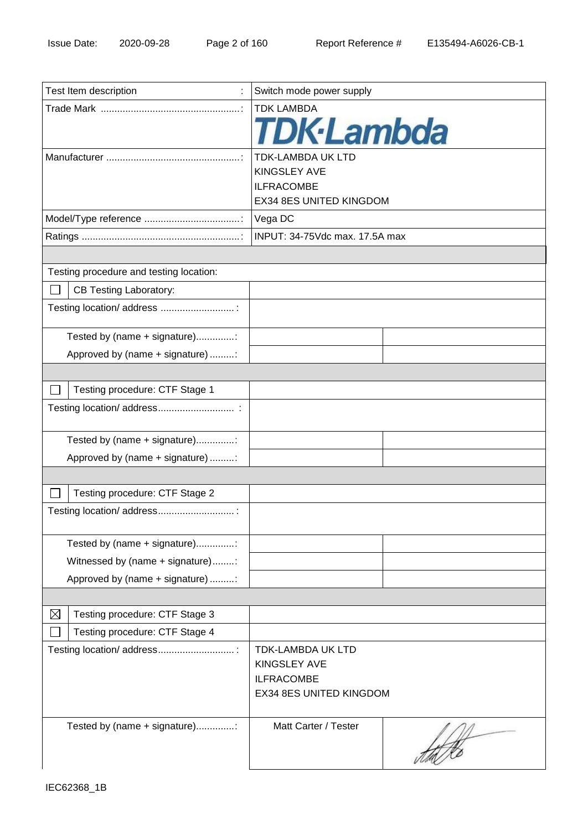| Test Item description                         | Switch mode power supply |  |
|-----------------------------------------------|--------------------------|--|
|                                               | <b>TDK LAMBDA</b>        |  |
|                                               | <b>TDK</b> ·Lambda       |  |
|                                               | <b>TDK-LAMBDA UK LTD</b> |  |
|                                               | <b>KINGSLEY AVE</b>      |  |
|                                               | <b>ILFRACOMBE</b>        |  |
|                                               | EX34 8ES UNITED KINGDOM  |  |
|                                               | Vega DC                  |  |
|                                               |                          |  |
|                                               |                          |  |
| Testing procedure and testing location:       |                          |  |
| <b>CB Testing Laboratory:</b>                 |                          |  |
| Testing location/ address :                   |                          |  |
| Tested by (name + signature):                 |                          |  |
| Approved by (name + signature) :              |                          |  |
|                                               |                          |  |
| Testing procedure: CTF Stage 1                |                          |  |
|                                               |                          |  |
| Tested by (name + signature):                 |                          |  |
| Approved by (name + signature) :              |                          |  |
|                                               |                          |  |
| Testing procedure: CTF Stage 2                |                          |  |
| Testing location/ address                     |                          |  |
| Tested by (name + signature)                  |                          |  |
| Witnessed by (name + signature):              |                          |  |
| Approved by (name + signature) :              |                          |  |
|                                               |                          |  |
| $\boxtimes$<br>Testing procedure: CTF Stage 3 |                          |  |
| Testing procedure: CTF Stage 4                |                          |  |
| Testing location/ address                     | <b>TDK-LAMBDA UK LTD</b> |  |
|                                               | <b>KINGSLEY AVE</b>      |  |
|                                               | <b>ILFRACOMBE</b>        |  |
|                                               | EX34 8ES UNITED KINGDOM  |  |
| Tested by (name + signature)                  | Matt Carter / Tester     |  |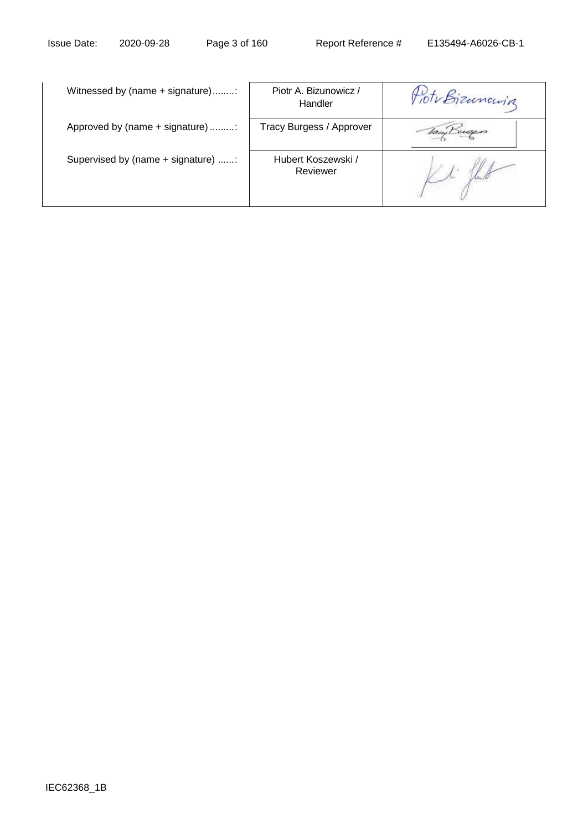| Witnessed by (name + signature):   | Piotr A. Bizunowicz /<br>Handler | Fioto Bizunowing |
|------------------------------------|----------------------------------|------------------|
| Approved by (name + signature) :   | Tracy Burgess / Approver         | tamp Luques      |
| Supervised by (name + signature) : | Hubert Koszewski /<br>Reviewer   |                  |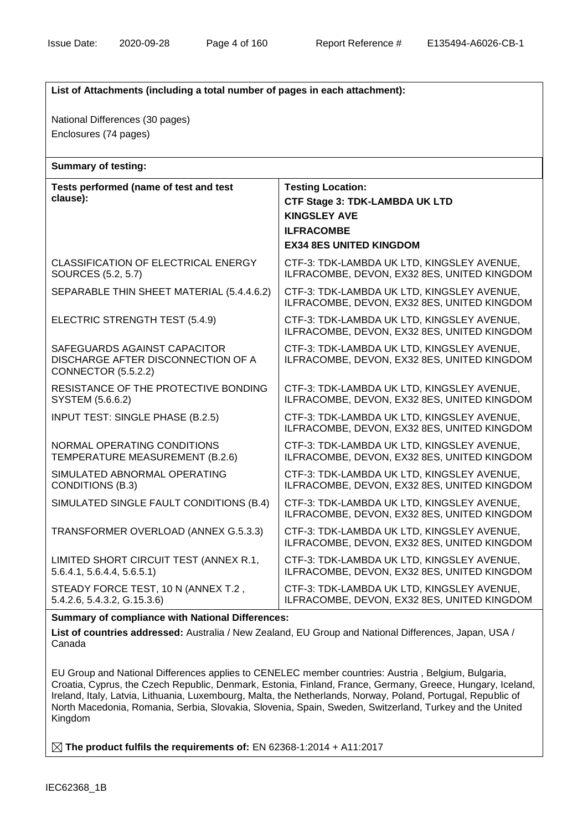| List of Attachments (including a total number of pages in each attachment):               |                                                                                                                                                 |  |  |  |
|-------------------------------------------------------------------------------------------|-------------------------------------------------------------------------------------------------------------------------------------------------|--|--|--|
| National Differences (30 pages)<br>Enclosures (74 pages)                                  |                                                                                                                                                 |  |  |  |
| <b>Summary of testing:</b>                                                                |                                                                                                                                                 |  |  |  |
| Tests performed (name of test and test<br>clause):                                        | <b>Testing Location:</b><br><b>CTF Stage 3: TDK-LAMBDA UK LTD</b><br><b>KINGSLEY AVE</b><br><b>ILFRACOMBE</b><br><b>EX34 8ES UNITED KINGDOM</b> |  |  |  |
| <b>CLASSIFICATION OF ELECTRICAL ENERGY</b><br>SOURCES (5.2, 5.7)                          | CTF-3: TDK-LAMBDA UK LTD, KINGSLEY AVENUE,<br>ILFRACOMBE, DEVON, EX32 8ES, UNITED KINGDOM                                                       |  |  |  |
| SEPARABLE THIN SHEET MATERIAL (5.4.4.6.2)                                                 | CTF-3: TDK-LAMBDA UK LTD, KINGSLEY AVENUE,<br>ILFRACOMBE, DEVON, EX32 8ES, UNITED KINGDOM                                                       |  |  |  |
| ELECTRIC STRENGTH TEST (5.4.9)                                                            | CTF-3: TDK-LAMBDA UK LTD, KINGSLEY AVENUE,<br>ILFRACOMBE, DEVON, EX32 8ES, UNITED KINGDOM                                                       |  |  |  |
| SAFEGUARDS AGAINST CAPACITOR<br>DISCHARGE AFTER DISCONNECTION OF A<br>CONNECTOR (5.5.2.2) | CTF-3: TDK-LAMBDA UK LTD, KINGSLEY AVENUE,<br>ILFRACOMBE, DEVON, EX32 8ES, UNITED KINGDOM                                                       |  |  |  |
| RESISTANCE OF THE PROTECTIVE BONDING<br>SYSTEM (5.6.6.2)                                  | CTF-3: TDK-LAMBDA UK LTD, KINGSLEY AVENUE,<br>ILFRACOMBE, DEVON, EX32 8ES, UNITED KINGDOM                                                       |  |  |  |
| <b>INPUT TEST: SINGLE PHASE (B.2.5)</b>                                                   | CTF-3: TDK-LAMBDA UK LTD, KINGSLEY AVENUE,<br>ILFRACOMBE, DEVON, EX32 8ES, UNITED KINGDOM                                                       |  |  |  |
| NORMAL OPERATING CONDITIONS<br>TEMPERATURE MEASUREMENT (B.2.6)                            | CTF-3: TDK-LAMBDA UK LTD, KINGSLEY AVENUE,<br>ILFRACOMBE, DEVON, EX32 8ES, UNITED KINGDOM                                                       |  |  |  |
| SIMULATED ABNORMAL OPERATING<br><b>CONDITIONS (B.3)</b>                                   | CTF-3: TDK-LAMBDA UK LTD, KINGSLEY AVENUE,<br>ILFRACOMBE, DEVON, EX32 8ES, UNITED KINGDOM                                                       |  |  |  |
| SIMULATED SINGLE FAULT CONDITIONS (B.4)                                                   | CTF-3: TDK-LAMBDA UK LTD, KINGSLEY AVENUE,<br>ILFRACOMBE, DEVON, EX32 8ES, UNITED KINGDOM                                                       |  |  |  |
| TRANSFORMER OVERLOAD (ANNEX G.5.3.3)                                                      | CTF-3: TDK-LAMBDA UK LTD, KINGSLEY AVENUE,<br>ILFRACOMBE, DEVON, EX32 8ES, UNITED KINGDOM                                                       |  |  |  |
| LIMITED SHORT CIRCUIT TEST (ANNEX R.1,<br>5.6.4.1, 5.6.4.4, 5.6.5.1                       | CTF-3: TDK-LAMBDA UK LTD, KINGSLEY AVENUE,<br>ILFRACOMBE, DEVON, EX32 8ES, UNITED KINGDOM                                                       |  |  |  |
| STEADY FORCE TEST, 10 N (ANNEX T.2,<br>5.4.2.6, 5.4.3.2, G.15.3.6)                        | CTF-3: TDK-LAMBDA UK LTD, KINGSLEY AVENUE,<br>ILFRACOMBE, DEVON, EX32 8ES, UNITED KINGDOM                                                       |  |  |  |

#### **Summary of compliance with National Differences:**

**List of countries addressed:** Australia / New Zealand, EU Group and National Differences, Japan, USA / Canada

EU Group and National Differences applies to CENELEC member countries: Austria , Belgium, Bulgaria, Croatia, Cyprus, the Czech Republic, Denmark, Estonia, Finland, France, Germany, Greece, Hungary, Iceland, Ireland, Italy, Latvia, Lithuania, Luxembourg, Malta, the Netherlands, Norway, Poland, Portugal, Republic of North Macedonia, Romania, Serbia, Slovakia, Slovenia, Spain, Sweden, Switzerland, Turkey and the United Kingdom

**The product fulfils the requirements of:** EN 62368-1:2014 + A11:2017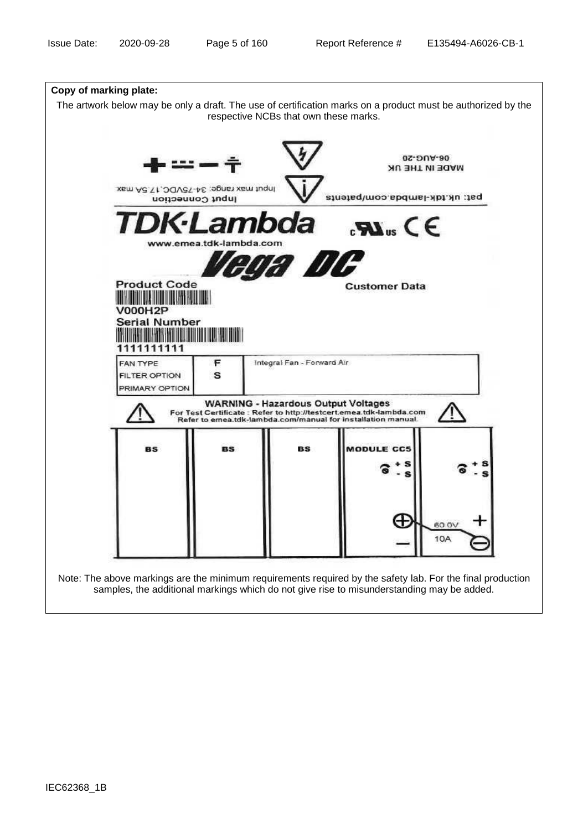| Copy of marking plate:                                                                                       |                                                                   |                                            |                                                                                                                                    |                             |
|--------------------------------------------------------------------------------------------------------------|-------------------------------------------------------------------|--------------------------------------------|------------------------------------------------------------------------------------------------------------------------------------|-----------------------------|
| The artwork below may be only a draft. The use of certification marks on a product must be authorized by the |                                                                   | respective NCBs that own these marks.      |                                                                                                                                    |                             |
|                                                                                                              | Xsm Ad. \t , OQVe\-A£ ;egnst xsm tuqnl<br><b>Input Connection</b> |                                            | pat: uk.tdk-lambda.com/patents                                                                                                     | 05-AUG-20<br>MADE IN THE UK |
|                                                                                                              |                                                                   |                                            | <b>TDK-Lambda</b> JAN S                                                                                                            |                             |
|                                                                                                              | www.emea.tdk-lambda.com                                           |                                            |                                                                                                                                    |                             |
|                                                                                                              |                                                                   | vega DC                                    |                                                                                                                                    |                             |
| <b>Product Code</b>                                                                                          | <b>THE REAL PROPERTY OF PERSON</b>                                |                                            | <b>Customer Data</b>                                                                                                               |                             |
| V000H2P<br><b>Serial Number</b>                                                                              |                                                                   |                                            |                                                                                                                                    |                             |
| 1111111111                                                                                                   |                                                                   |                                            |                                                                                                                                    |                             |
| FAN TYPE<br><b>FILTER OPTION</b><br>PRIMARY OPTION                                                           | F<br>s                                                            | Integral Fan - Forward Air                 |                                                                                                                                    |                             |
|                                                                                                              |                                                                   | <b>WARNING - Hazardous Output Voltages</b> | For Test Certificate : Refer to http://testcert.emea.tdk-lambda.com<br>Refer to emea.tdk-lambda.com/manual for installation manual |                             |
| <b>BS</b>                                                                                                    | <b>BS</b>                                                         | <b>BS</b>                                  | MODULE CC5                                                                                                                         |                             |
|                                                                                                              |                                                                   |                                            | s<br>s                                                                                                                             |                             |
|                                                                                                              |                                                                   |                                            |                                                                                                                                    |                             |
|                                                                                                              |                                                                   |                                            | æ                                                                                                                                  | 60.0\                       |
|                                                                                                              |                                                                   |                                            |                                                                                                                                    | 10A                         |
|                                                                                                              |                                                                   |                                            |                                                                                                                                    |                             |

Note: The above markings are the minimum requirements required by the safety lab. For the final production samples, the additional markings which do not give rise to misunderstanding may be added.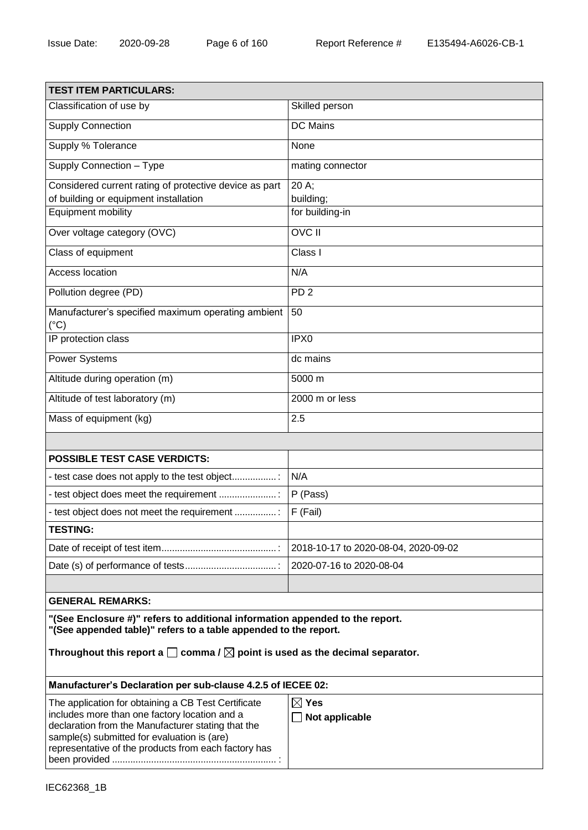| <b>TEST ITEM PARTICULARS:</b>                                                                                                                                                                                                                                                                          |                                      |  |  |
|--------------------------------------------------------------------------------------------------------------------------------------------------------------------------------------------------------------------------------------------------------------------------------------------------------|--------------------------------------|--|--|
| Classification of use by                                                                                                                                                                                                                                                                               | Skilled person                       |  |  |
| <b>Supply Connection</b>                                                                                                                                                                                                                                                                               | <b>DC</b> Mains                      |  |  |
| Supply % Tolerance                                                                                                                                                                                                                                                                                     | None                                 |  |  |
| Supply Connection - Type                                                                                                                                                                                                                                                                               | mating connector                     |  |  |
| Considered current rating of protective device as part                                                                                                                                                                                                                                                 | 20 A;                                |  |  |
| of building or equipment installation                                                                                                                                                                                                                                                                  | building;                            |  |  |
| Equipment mobility                                                                                                                                                                                                                                                                                     | for building-in                      |  |  |
| Over voltage category (OVC)                                                                                                                                                                                                                                                                            | <b>OVC II</b>                        |  |  |
| Class of equipment                                                                                                                                                                                                                                                                                     | Class I                              |  |  |
| Access location                                                                                                                                                                                                                                                                                        | N/A                                  |  |  |
| Pollution degree (PD)                                                                                                                                                                                                                                                                                  | PD <sub>2</sub>                      |  |  |
| Manufacturer's specified maximum operating ambient<br>$(^{\circ}C)$                                                                                                                                                                                                                                    | 50                                   |  |  |
| IP protection class                                                                                                                                                                                                                                                                                    | IPX <sub>0</sub>                     |  |  |
| <b>Power Systems</b>                                                                                                                                                                                                                                                                                   | dc mains                             |  |  |
| Altitude during operation (m)                                                                                                                                                                                                                                                                          | 5000 m                               |  |  |
| Altitude of test laboratory (m)                                                                                                                                                                                                                                                                        | 2000 m or less                       |  |  |
| Mass of equipment (kg)                                                                                                                                                                                                                                                                                 | 2.5                                  |  |  |
|                                                                                                                                                                                                                                                                                                        |                                      |  |  |
| <b>POSSIBLE TEST CASE VERDICTS:</b>                                                                                                                                                                                                                                                                    |                                      |  |  |
| - test case does not apply to the test object                                                                                                                                                                                                                                                          | N/A                                  |  |  |
| - test object does meet the requirement                                                                                                                                                                                                                                                                | P (Pass)                             |  |  |
| - test object does not meet the requirement                                                                                                                                                                                                                                                            | F (Fail)                             |  |  |
| <b>TESTING:</b>                                                                                                                                                                                                                                                                                        |                                      |  |  |
|                                                                                                                                                                                                                                                                                                        | 2018-10-17 to 2020-08-04, 2020-09-02 |  |  |
|                                                                                                                                                                                                                                                                                                        | 2020-07-16 to 2020-08-04             |  |  |
|                                                                                                                                                                                                                                                                                                        |                                      |  |  |
| <b>GENERAL REMARKS:</b>                                                                                                                                                                                                                                                                                |                                      |  |  |
| "(See Enclosure #)" refers to additional information appended to the report.<br>"(See appended table)" refers to a table appended to the report.<br>Throughout this report a $\square$ comma / $\square$ point is used as the decimal separator.                                                       |                                      |  |  |
| Manufacturer's Declaration per sub-clause 4.2.5 of IECEE 02:                                                                                                                                                                                                                                           |                                      |  |  |
| $\boxtimes$ Yes<br>The application for obtaining a CB Test Certificate<br>includes more than one factory location and a<br>Not applicable<br>declaration from the Manufacturer stating that the<br>sample(s) submitted for evaluation is (are)<br>representative of the products from each factory has |                                      |  |  |

been provided ............................................................... :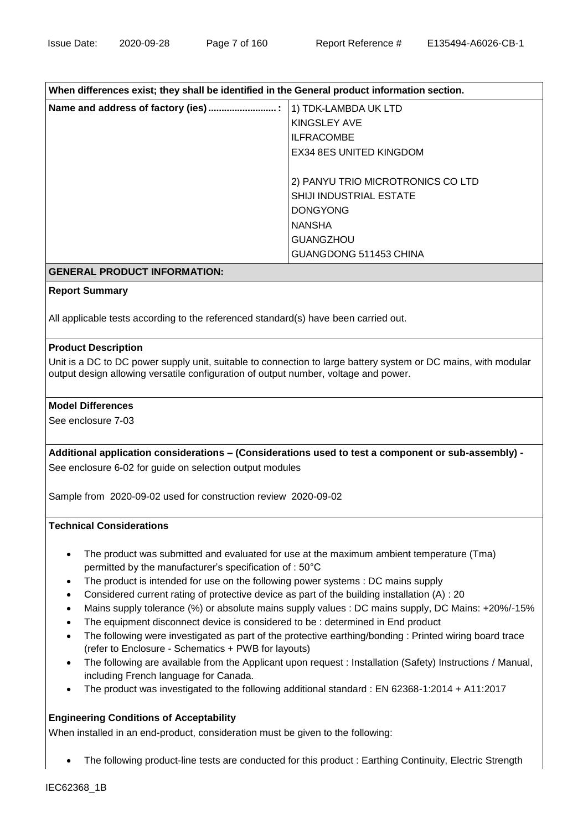### **When differences exist; they shall be identified in the General product information section.**

| 1) TDK-LAMBDA UK LTD              |
|-----------------------------------|
| KINGSLEY AVE                      |
| <b>ILFRACOMBE</b>                 |
| <b>EX34 8ES UNITED KINGDOM</b>    |
|                                   |
| 2) PANYU TRIO MICROTRONICS CO LTD |
| SHIJI INDUSTRIAL ESTATE           |
| <b>DONGYONG</b>                   |
| <b>NANSHA</b>                     |
| <b>GUANGZHOU</b>                  |
| GUANGDONG 511453 CHINA            |
|                                   |

### **GENERAL PRODUCT INFORMATION:**

### **Report Summary**

All applicable tests according to the referenced standard(s) have been carried out.

### **Product Description**

Unit is a DC to DC power supply unit, suitable to connection to large battery system or DC mains, with modular output design allowing versatile configuration of output number, voltage and power.

### **Model Differences**

See enclosure 7-03

**Additional application considerations – (Considerations used to test a component or sub-assembly) -** See enclosure 6-02 for guide on selection output modules

Sample from 2020-09-02 used for construction review 2020-09-02

#### **Technical Considerations**

- The product was submitted and evaluated for use at the maximum ambient temperature (Tma) permitted by the manufacturer's specification of : 50°C
- The product is intended for use on the following power systems : DC mains supply
- Considered current rating of protective device as part of the building installation (A) : 20
- Mains supply tolerance (%) or absolute mains supply values : DC mains supply, DC Mains: +20%/-15%
- The equipment disconnect device is considered to be : determined in End product
- The following were investigated as part of the protective earthing/bonding : Printed wiring board trace (refer to Enclosure - Schematics + PWB for layouts)
- The following are available from the Applicant upon request : Installation (Safety) Instructions / Manual, including French language for Canada.
- The product was investigated to the following additional standard : EN 62368-1:2014 + A11:2017

### **Engineering Conditions of Acceptability**

When installed in an end-product, consideration must be given to the following:

The following product-line tests are conducted for this product : Earthing Continuity, Electric Strength